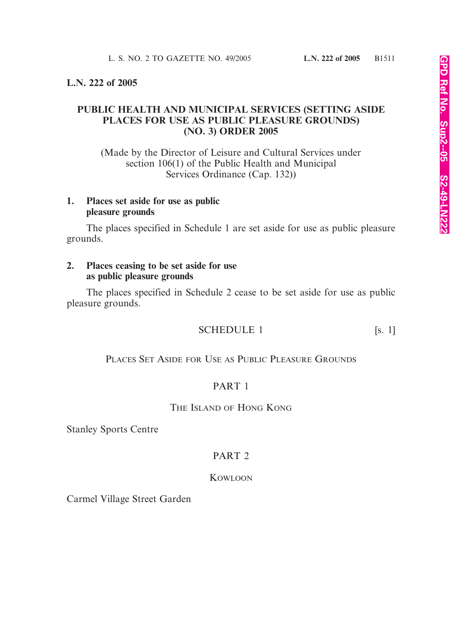### **L.N. 222 of 2005**

## **PUBLIC HEALTH AND MUNICIPAL SERVICES (SETTING ASIDE PLACES FOR USE AS PUBLIC PLEASURE GROUNDS) (NO. 3) ORDER 2005**

(Made by the Director of Leisure and Cultural Services under section 106(1) of the Public Health and Municipal Services Ordinance (Cap. 132))

### **1. Places set aside for use as public pleasure grounds**

The places specified in Schedule 1 are set aside for use as public pleasure grounds.

### **2. Places ceasing to be set aside for use as public pleasure grounds**

The places specified in Schedule 2 cease to be set aside for use as public pleasure grounds.

# SCHEDULE 1 [s. 1]

PLACES SET ASIDE FOR USE AS PUBLIC PLEASURE GROUNDS

## PART 1

#### THE ISLAND OF HONG KONG

Stanley Sports Centre

## PART 2

#### KOWLOON

Carmel Village Street Garden